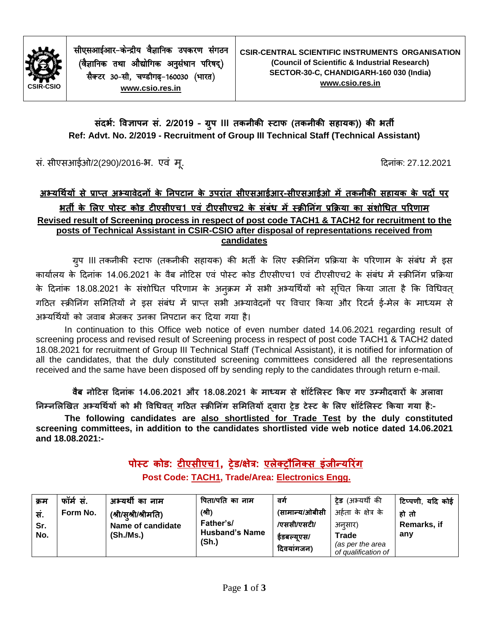

सीएसआईआर-केन्द्रीय वैज्ञानिक उपकरण संगठन (वैज्ञानिक तथा औद्योगिक अनुसंधान परिषद) सैक्टर 30-सी, चण्डीगढ़-160030 (भारत) **[www.csio.res.in](http://www.csio.res.in/)**

### **संदर्भ: विज्ञापन सं. 2/2019 – ग्रपु III तकनीकी स्टाफ (तकनीकी सहायक)) की र्ती Ref: Advt. No. 2/2019 - Recruitment of Group III Technical Staff (Technical Assistant)**

सं. सीएसआईओ/2(290)/2016-भ. एवं मृ. क्या दिन कर कार्यक्रम कर विनांक: 27.12.2021

## **अभ्यर्थभयों से प्राप्त अभ्यािेदनों के ननपटान के उपरांत सीएसआईआर-सीएसआईओ में तकनीकी सहायक के पदों पर र्ती के लिए पोस्ट कोड टीएसीएच1 एिं टीएसीएच2 के संबंध में स्रीननंग प्रक्ररया का संशोर्धत पररणाम Revised result of Screening process in respect of post code TACH1 & TACH2 for recruitment to the posts of Technical Assistant in CSIR-CSIO after disposal of representations received from candidates**

ग्रुप III तकनीकी स्टाफ (तकनीकी सहायक) की भर्ती के लिए स्क्रीनिंग प्रक्रिया के परिणाम के संबंध में इस कार्यालय के दिनांक 14.06.2021 के वैब नोटिस एवं पोस्ट कोड टीएसीएच1 एवं टीएसीएच2 के संबंध में स्क्रीनिंग प्रक्रिया के दिनांक 18.08.2021 के संशोधित परिणाम के अनुक्रम में सभी अभ्यर्थियों को सूचित किया जाता है कि विधिवत् गठित स्क्रीनिंग समितियों ने इस संबंध में प्राप्त सभी अभ्यावेदनों पर विचार किया और रिटर्न ई-मेल के माध्यम से अभ्यर्थियों को जवाब भेजकर उनका निपटान कर दिया गया है।

In continuation to this Office web notice of even number dated 14.06.2021 regarding result of screening process and revised result of Screening process in respect of post code TACH1 & TACH2 dated 18.08.2021 for recruitment of Group III Technical Staff (Technical Assistant), it is notified for information of all the candidates, that the duly constituted screening committees considered all the representations received and the same have been disposed off by sending reply to the candidates through return e-mail.

वैब नोटिस दिनांक 14.06.2021 और 18.08.2021 के माध्यम से शॉर्टलिस्ट किए गए उम्मीदवारों के अलावा **ननम्नलिखित अभ्यर्थभयों को र्ी विर्धित्गटित स्रीननंग सलमनतयों द्िारा ट्रेड टेस्ट के लिए शॉटभलिस्ट क्रकया गया है:-**

**The following candidates are also shortlisted for Trade Test by the duly constituted screening committees, in addition to the candidates shortlisted vide web notice dated 14.06.2021 and 18.08.2021:-**

> **पोस्ट कोड: टीएसीएच1, ट्रेड/क्षेत्र: एिेक्ट्ट्रौननक्ट्स इंजीन्यररंग Post Code: TACH1, Trade/Area: Electronics Engg.**

| क्रम | फॉर्म सं. | अभ्यर्थी का नाम      | पिता/पति का नाम                | ਕਗੇ            | <b>ट्रेड</b> (अभ्यर्थी की | टिप्पणी, यदि कोई |
|------|-----------|----------------------|--------------------------------|----------------|---------------------------|------------------|
| सं.  | Form No.  | (श्री/सश्री/श्रीमति) | (श्री)                         | (सामान्य/ओबीसी | अर्हता के क्षेत्र के      | हो तो            |
| Sr.  |           | Name of candidate    | Father's/                      | /एससी/एसटी/    | अनसार)                    | Remarks, if      |
| No.  |           | (Sh./Ms.)            | <b>Husband's Name</b><br>(Sh.) | इंडबल्युएस/    | <b>Trade</b>              | any              |
|      |           |                      |                                | दिवयांगजन)     | (as per the area          |                  |
|      |           |                      |                                |                | of qualification of       |                  |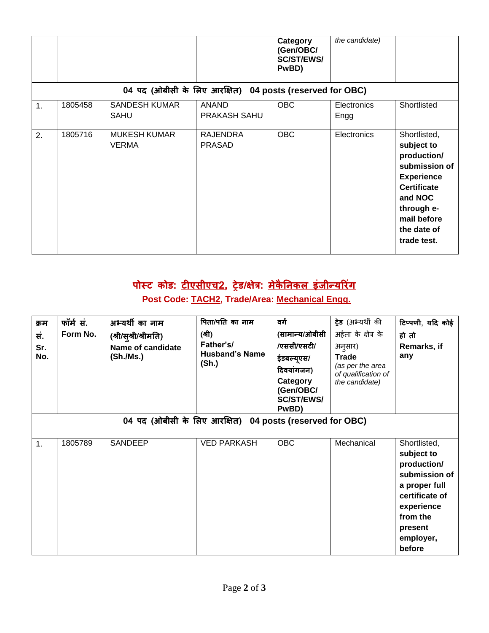|    |         |                                     |                                                          | Category<br>(Gen/OBC/<br><b>SC/ST/EWS/</b><br>PwBD) | the candidate)      |                                                                                                                                                                             |
|----|---------|-------------------------------------|----------------------------------------------------------|-----------------------------------------------------|---------------------|-----------------------------------------------------------------------------------------------------------------------------------------------------------------------------|
|    |         |                                     | 04 पद (ओबीसी के लिए आरक्षित) 04 posts (reserved for OBC) |                                                     |                     |                                                                                                                                                                             |
| 1. | 1805458 | <b>SANDESH KUMAR</b><br><b>SAHU</b> | <b>ANAND</b><br>PRAKASH SAHU                             | <b>OBC</b>                                          | Electronics<br>Engg | Shortlisted                                                                                                                                                                 |
| 2. | 1805716 | <b>MUKESH KUMAR</b><br><b>VERMA</b> | <b>RAJENDRA</b><br><b>PRASAD</b>                         | <b>OBC</b>                                          | Electronics         | Shortlisted,<br>subject to<br>production/<br>submission of<br><b>Experience</b><br><b>Certificate</b><br>and NOC<br>through e-<br>mail before<br>the date of<br>trade test. |

# **पोस्ट कोड: टीएसीएच2, ट्रेड/क्षेत्र: मेकै ननकि इंजीन्यररंग Post Code: TACH2, Trade/Area: Mechanical Engg.**

| क्रम<br>सं.<br>Sr.<br>No.                                | फॉर्म सं.<br>Form No. | अभ्यर्थी का नाम<br>(श्री/सुश्री/श्रीमति)<br>Name of candidate<br>(Sh./Ms.) | पिता/पति का नाम<br>(श्री)<br>Father's/<br><b>Husband's Name</b><br>(Sh.) | वर्ग<br>(सामान्य/ओबीसी<br>/एससी/एसटी/<br>ईडबल्यूएस/<br>दिवयांगजन)<br>Category<br>(Gen/OBC/<br><b>SC/ST/EWS/</b><br>PwBD) | <b>ट्रेड</b> (अभ्यर्थी की<br>अर्हता के क्षेत्र के<br>अनुसार)<br><b>Trade</b><br>(as per the area<br>of qualification of<br>the candidate) | टिप्पणी, यदि कोई<br>हो तो<br>Remarks, if<br>any                                                                                                           |  |  |
|----------------------------------------------------------|-----------------------|----------------------------------------------------------------------------|--------------------------------------------------------------------------|--------------------------------------------------------------------------------------------------------------------------|-------------------------------------------------------------------------------------------------------------------------------------------|-----------------------------------------------------------------------------------------------------------------------------------------------------------|--|--|
| 04 पद (ओबीसी के लिए आरक्षित) 04 posts (reserved for OBC) |                       |                                                                            |                                                                          |                                                                                                                          |                                                                                                                                           |                                                                                                                                                           |  |  |
| 1.                                                       | 1805789               | SANDEEP                                                                    | <b>VED PARKASH</b>                                                       | <b>OBC</b>                                                                                                               | Mechanical                                                                                                                                | Shortlisted,<br>subject to<br>production/<br>submission of<br>a proper full<br>certificate of<br>experience<br>from the<br>present<br>employer,<br>before |  |  |